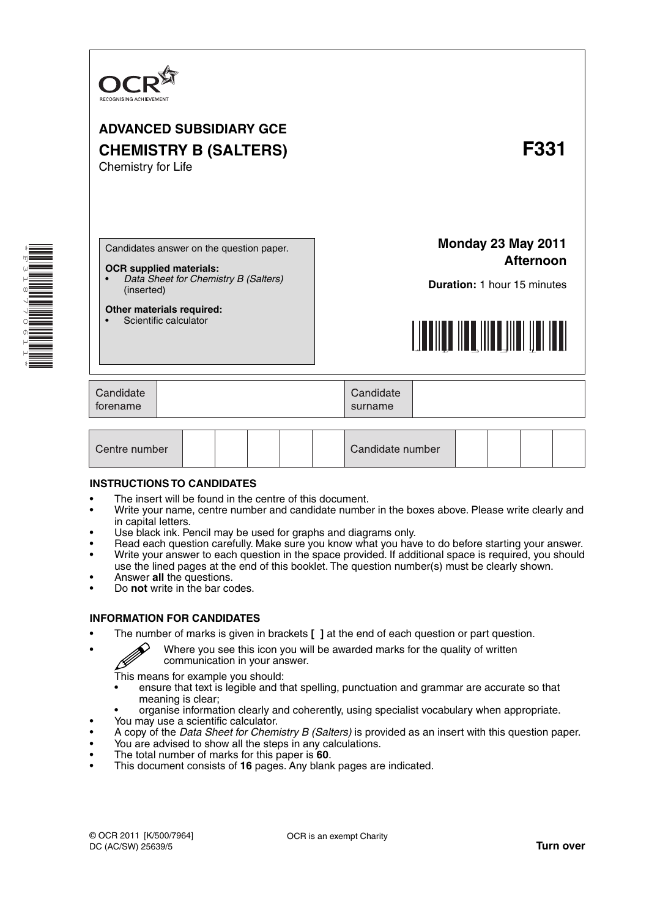

# **ADVANCED SUBSIDIARY GCE CHEMISTRY B (SALTERS) F331** Chemistry for Life

Candidates answer on the question paper.

#### **OCR supplied materials:**

- *Data Sheet for Chemistry B (Salters)* (inserted)
- **Other materials required:** Scientific calculator

**Monday 23 May 2011 Afternoon**

**Duration:** 1 hour 15 minutes



| Candidate<br>Candidate<br>forename<br>surname |  |
|-----------------------------------------------|--|
|-----------------------------------------------|--|

| Centre number |  |  |  |  |  | Candidate number |  |  |  |  |
|---------------|--|--|--|--|--|------------------|--|--|--|--|
|---------------|--|--|--|--|--|------------------|--|--|--|--|

### **INSTRUCTIONS TO CANDIDATES**

- The insert will be found in the centre of this document.
- Write your name, centre number and candidate number in the boxes above. Please write clearly and in capital letters.
- Use black ink. Pencil may be used for graphs and diagrams only.
- Read each question carefully. Make sure you know what you have to do before starting your answer. • Write your answer to each question in the space provided. If additional space is required, you should
- use the lined pages at the end of this booklet. The question number(s) must be clearly shown. • Answer **all** the questions.
- Do **not** write in the bar codes.

### **INFORMATION FOR CANDIDATES**

- The number of marks is given in brackets **[ ]** at the end of each question or part question.
	- Where you see this icon you will be awarded marks for the quality of written communication in your answer.

This means for example you should:

- ensure that text is legible and that spelling, punctuation and grammar are accurate so that meaning is clear;
- organise information clearly and coherently, using specialist vocabulary when appropriate.
- You may use a scientific calculator.
- A copy of the *Data Sheet for Chemistry B (Salters)* is provided as an insert with this question paper.
- You are advised to show all the steps in any calculations.
- The total number of marks for this paper is **60**.
- This document consists of **16** pages. Any blank pages are indicated.

R

OCR is an exempt Charity

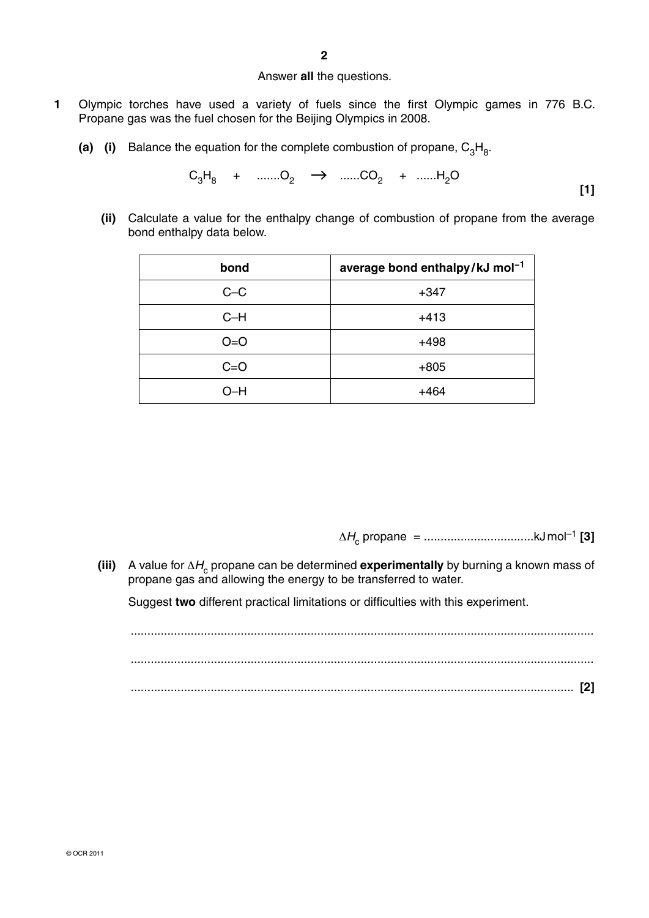### Answer **all** the questions.

- **1** Olympic torches have used a variety of fuels since the first Olympic games in 776 B.C. Propane gas was the fuel chosen for the Beijing Olympics in 2008.
	- **(a)** (i) Balance the equation for the complete combustion of propane,  $C_3H_8$ .

$$
C_3H_8 + \dots L_2 \rightarrow \dots L_2C_2 + \dots L_2O
$$
 [1]

 **(ii)** Calculate a value for the enthalpy change of combustion of propane from the average bond enthalpy data below.

| bond    | average bond enthalpy/kJ mol <sup>-1</sup> |
|---------|--------------------------------------------|
| $C-C$   | $+347$                                     |
| $C-H$   | $+413$                                     |
| $O = O$ | $+498$                                     |
| $C = O$ | $+805$                                     |
| )_H     | $+464$                                     |

<sup>Δ</sup>*<sup>H</sup>*c propane = .................................kJ mol–1 **[3]**

**(iii)** A value for ΔH<sub>c</sub> propane can be determined **experimentally** by burning a known mass of propane gas and allowing the energy to be transferred to water.

Suggest **two** different practical limitations or difficulties with this experiment.

 ........................................................................................................................................... ........................................................................................................................................... ..................................................................................................................................... **[2]**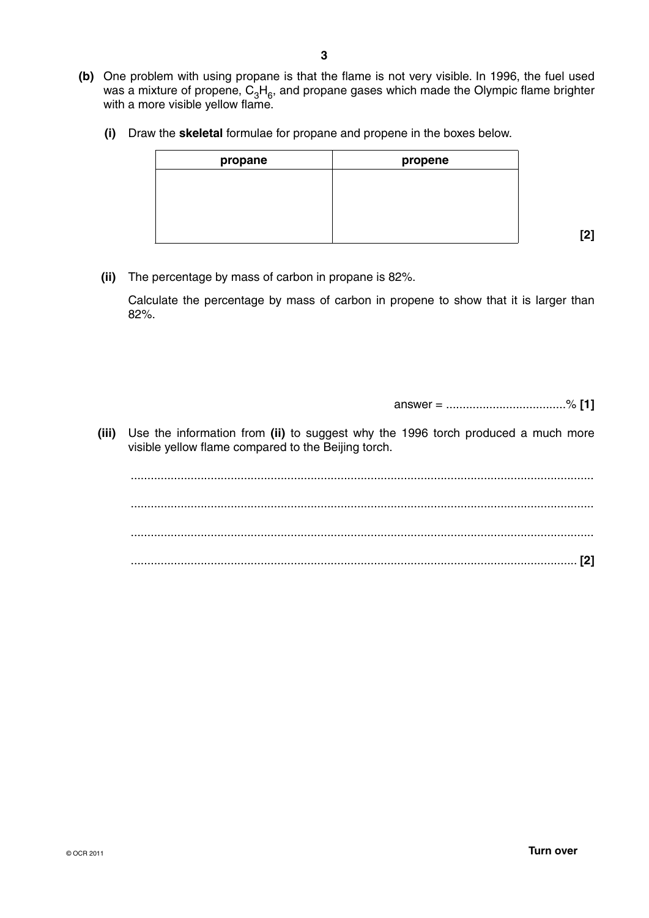- **(b)** One problem with using propane is that the flame is not very visible. In 1996, the fuel used was a mixture of propene,  $C_3H_6$ , and propane gases which made the Olympic flame brighter with a more visible yellow flame.
	- **(i)** Draw the **skeletal** formulae for propane and propene in the boxes below.

| propane | propene |
|---------|---------|
|         |         |
|         |         |
|         |         |
|         |         |

 **[2]**

 **(ii)** The percentage by mass of carbon in propane is 82%.

Calculate the percentage by mass of carbon in propene to show that it is larger than 82%.

answer = ....................................% **[1]**

 **(iii)** Use the information from **(ii)** to suggest why the 1996 torch produced a much more visible yellow flame compared to the Beijing torch.

 ........................................................................................................................................... ........................................................................................................................................... ........................................................................................................................................... ...................................................................................................................................... **[2]**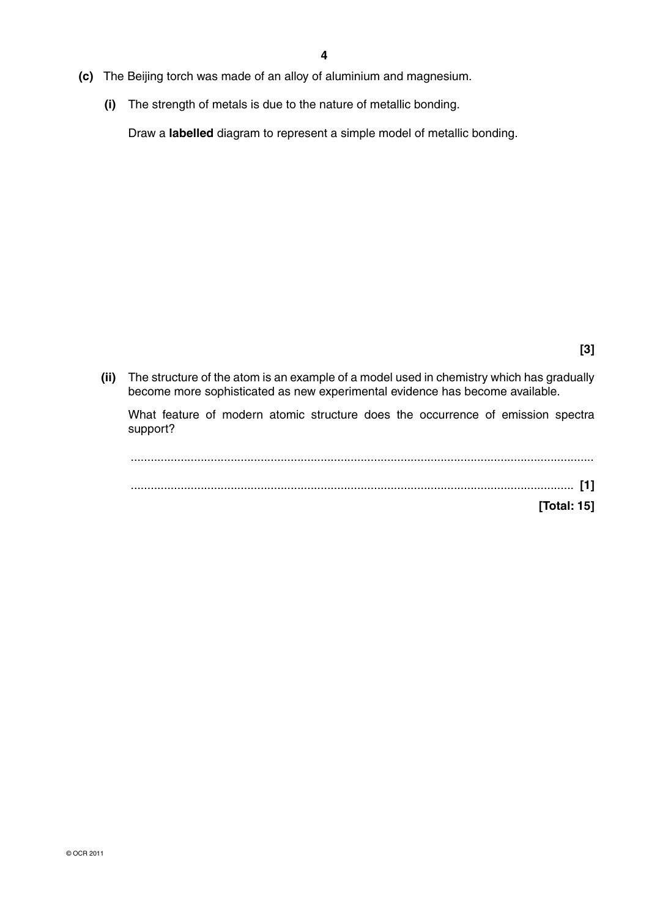- **(c)** The Beijing torch was made of an alloy of aluminium and magnesium.
	- **(i)** The strength of metals is due to the nature of metallic bonding.

Draw a **labelled** diagram to represent a simple model of metallic bonding.

 **(ii)** The structure of the atom is an example of a model used in chemistry which has gradually become more sophisticated as new experimental evidence has become available.

What feature of modern atomic structure does the occurrence of emission spectra support?

 ........................................................................................................................................... ..................................................................................................................................... **[1] [Total: 15]**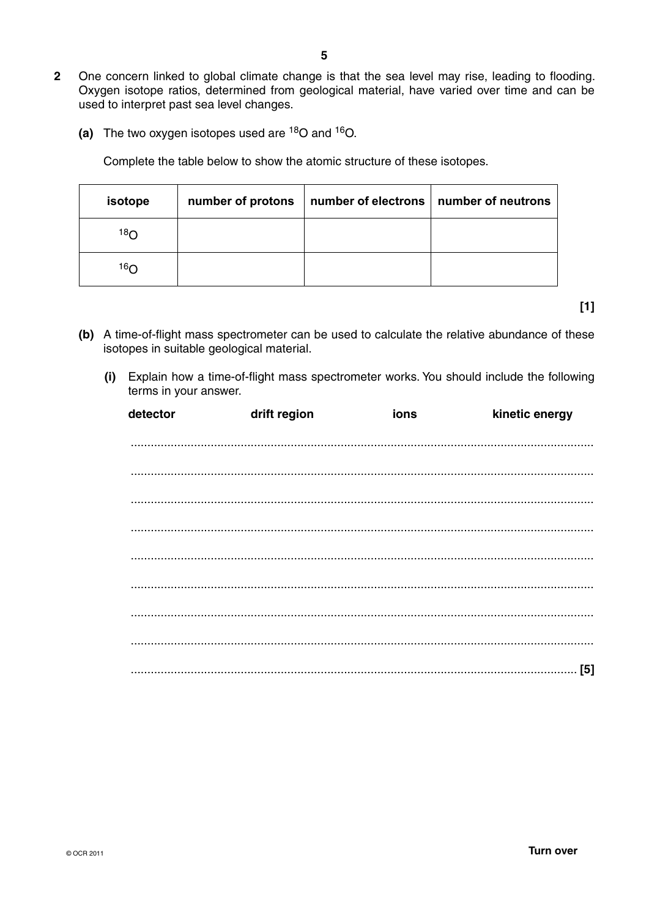- **2** One concern linked to global climate change is that the sea level may rise, leading to flooding. Oxygen isotope ratios, determined from geological material, have varied over time and can be used to interpret past sea level changes.
	- **(a)** The two oxygen isotopes used are 18O and 16O.

Complete the table below to show the atomic structure of these isotopes.

| isotope | number of protons | number of electrons   number of neutrons |  |
|---------|-------------------|------------------------------------------|--|
| 18റ     |                   |                                          |  |
| 16റ     |                   |                                          |  |

**[1]**

- **(b)** A time-of-flight mass spectrometer can be used to calculate the relative abundance of these isotopes in suitable geological material.
	- **(i)** Explain how a time-of-flight mass spectrometer works. You should include the following terms in your answer.

| detector | drift region | ions | kinetic energy |
|----------|--------------|------|----------------|
|          |              |      |                |
|          |              |      |                |
|          |              |      |                |
|          |              |      |                |
|          |              |      |                |
|          |              |      |                |
|          |              |      |                |
|          |              |      |                |
|          |              |      |                |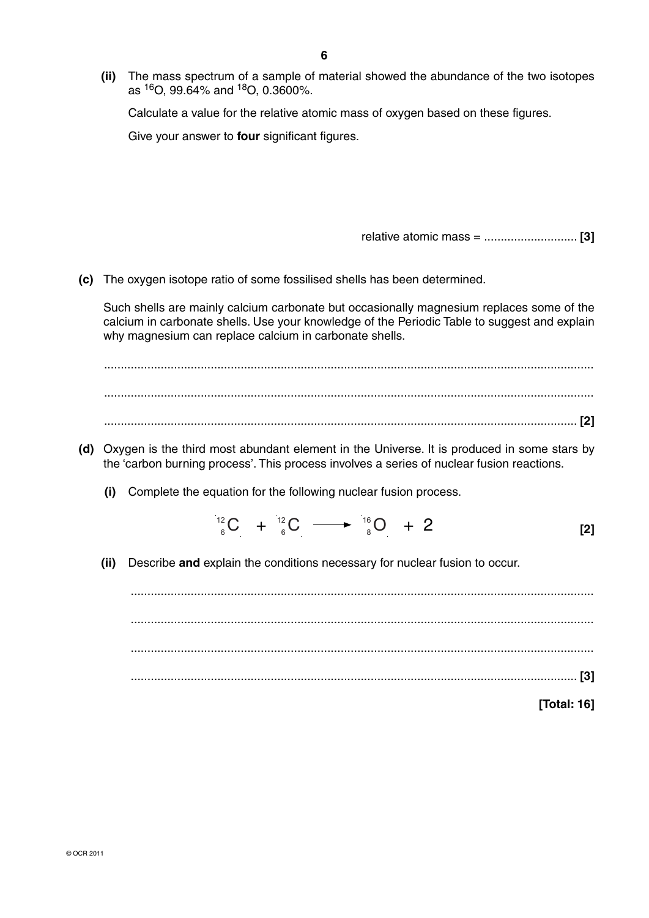**(ii)** The mass spectrum of a sample of material showed the abundance of the two isotopes as  $160.99.64\%$  and  $180.0.3600\%$ .

Calculate a value for the relative atomic mass of oxygen based on these figures.

Give your answer to **four** significant figures.

relative atomic mass = ............................ **[3]**

 **(c)** The oxygen isotope ratio of some fossilised shells has been determined.

Such shells are mainly calcium carbonate but occasionally magnesium replaces some of the calcium in carbonate shells. Use your knowledge of the Periodic Table to suggest and explain why magnesium can replace calcium in carbonate shells.

 ................................................................................................................................................... ................................................................................................................................................... .............................................................................................................................................. **[2]**

- **(d)** Oxygen is the third most abundant element in the Universe. It is produced in some stars by the 'carbon burning process'. This process involves a series of nuclear fusion reactions.
	- **(i)** Complete the equation for the following nuclear fusion process.

 $^{12}_{6}C + ^{12}_{6}C \longrightarrow ^{16}_{8}O + 2$  [2]

 **(ii)** Describe **and** explain the conditions necessary for nuclear fusion to occur.

 ........................................................................................................................................... ........................................................................................................................................... ........................................................................................................................................... ...................................................................................................................................... **[3] [Total: 16]**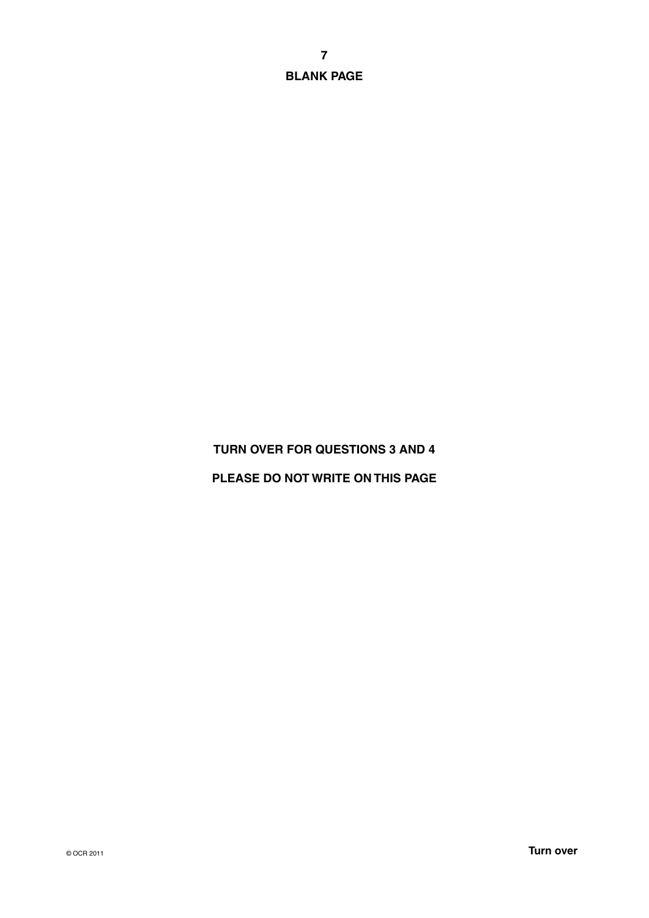**BLANK PAGE**

# **TURN OVER FOR QUESTIONS 3 AND 4**

# **PLEASE DO NOT WRITE ON THIS PAGE**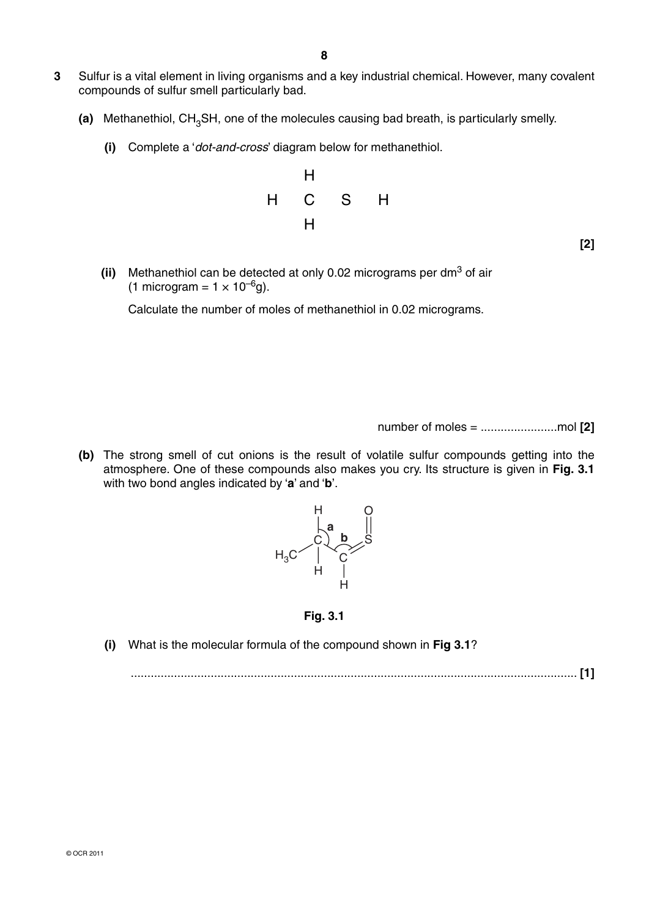- **3** Sulfur is a vital element in living organisms and a key industrial chemical. However, many covalent compounds of sulfur smell particularly bad.
	- (a) Methanethiol, CH<sub>3</sub>SH, one of the molecules causing bad breath, is particularly smelly.
		- **(i)** Complete a '*dot-and-cross*' diagram below for methanethiol.



- **[2]**
- **(ii)** Methanethiol can be detected at only 0.02 micrograms per dm<sup>3</sup> of air (1 microgram =  $1 \times 10^{-6}$ g).

Calculate the number of moles of methanethiol in 0.02 micrograms.

number of moles = .......................mol **[2]**

 **(b)** The strong smell of cut onions is the result of volatile sulfur compounds getting into the atmosphere. One of these compounds also makes you cry. Its structure is given in **Fig. 3.1** with two bond angles indicated by '**a**' and '**b**'.



**Fig. 3.1**

 **(i)** What is the molecular formula of the compound shown in **Fig 3.1**?

...................................................................................................................................... **[1]**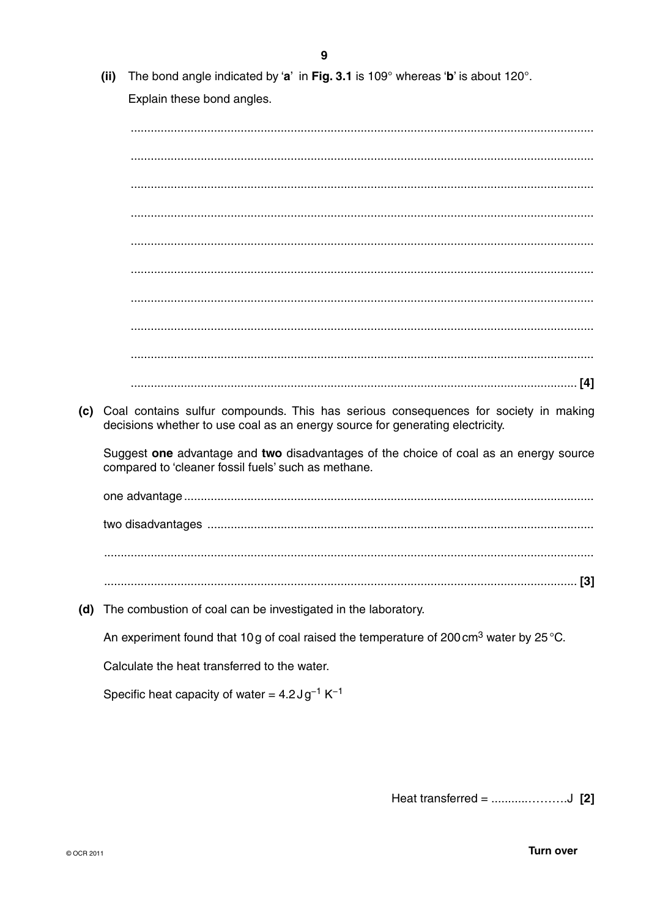The bond angle indicated by 'a' in Fig. 3.1 is  $109^\circ$  whereas 'b' is about  $120^\circ$ .  $(ii)$ Explain these bond angles. (c) Coal contains sulfur compounds. This has serious consequences for society in making decisions whether to use coal as an energy source for generating electricity. Suggest one advantage and two disadvantages of the choice of coal as an energy source compared to 'cleaner fossil fuels' such as methane. (d) The combustion of coal can be investigated in the laboratory. An experiment found that 10g of coal raised the temperature of 200 $\text{cm}^3$  water by 25 °C. Calculate the heat transferred to the water. Specific heat capacity of water =  $4.2 \text{ J} \text{g}^{-1} \text{ K}^{-1}$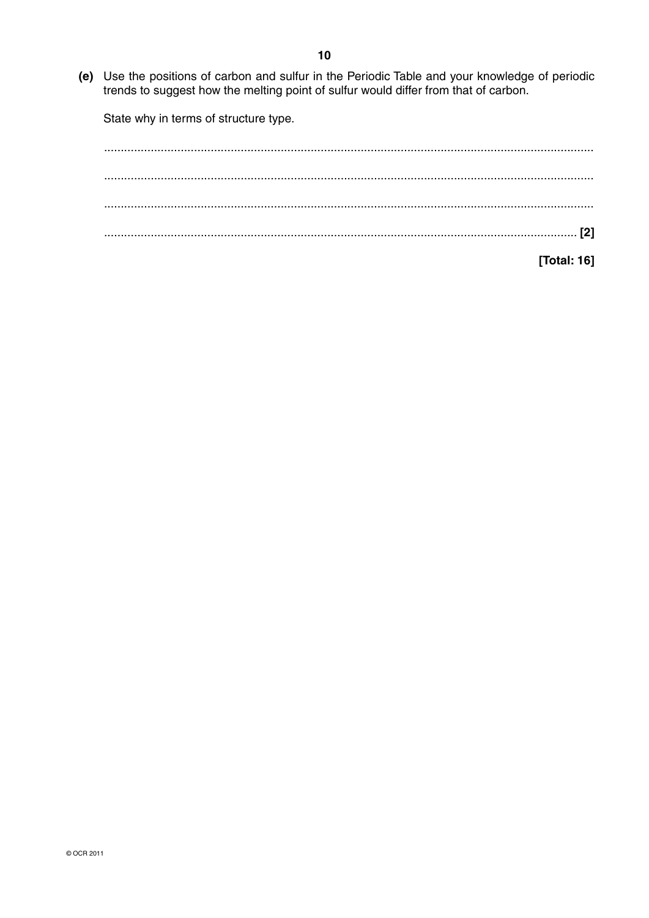(e) Use the positions of carbon and sulfur in the Periodic Table and your knowledge of periodic trends to suggest how the melting point of sulfur would differ from that of carbon.

State why in terms of structure type.

[Total: 16]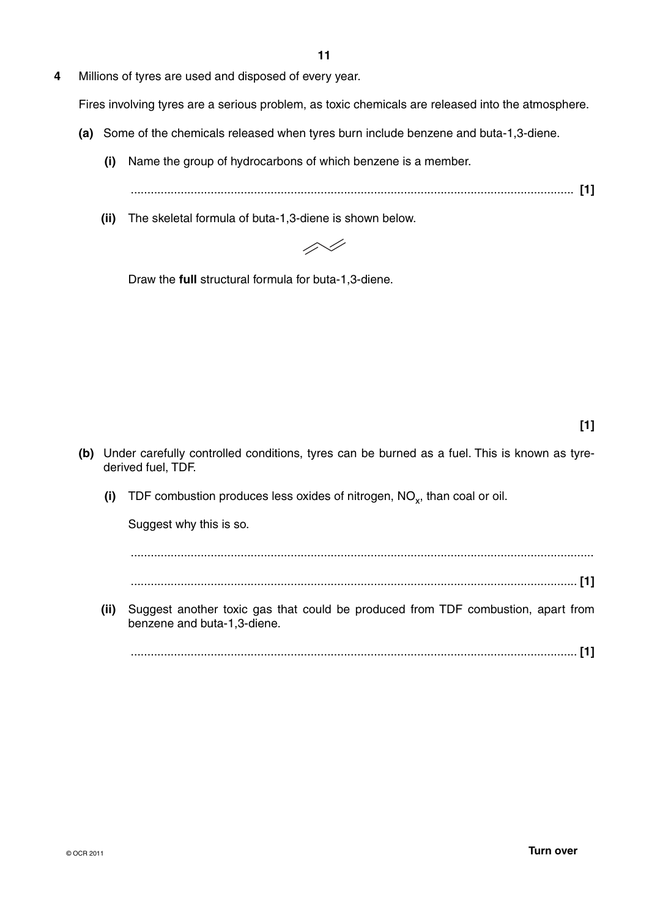**4** Millions of tyres are used and disposed of every year.

Fires involving tyres are a serious problem, as toxic chemicals are released into the atmosphere.

- **(a)** Some of the chemicals released when tyres burn include benzene and buta-1,3-diene.
	- **(i)** Name the group of hydrocarbons of which benzene is a member.

..................................................................................................................................... **[1]**

 **(ii)** The skeletal formula of buta-1,3-diene is shown below.



Draw the **full** structural formula for buta-1,3-diene.

- **(b)** Under carefully controlled conditions, tyres can be burned as a fuel. This is known as tyrederived fuel, TDF.
	- **(i)** TDF combustion produces less oxides of nitrogen, NO<sub>y</sub>, than coal or oil.

Suggest why this is so.

...........................................................................................................................................

- ...................................................................................................................................... **[1]**
- **(ii)** Suggest another toxic gas that could be produced from TDF combustion, apart from benzene and buta-1,3-diene.

...................................................................................................................................... **[1]**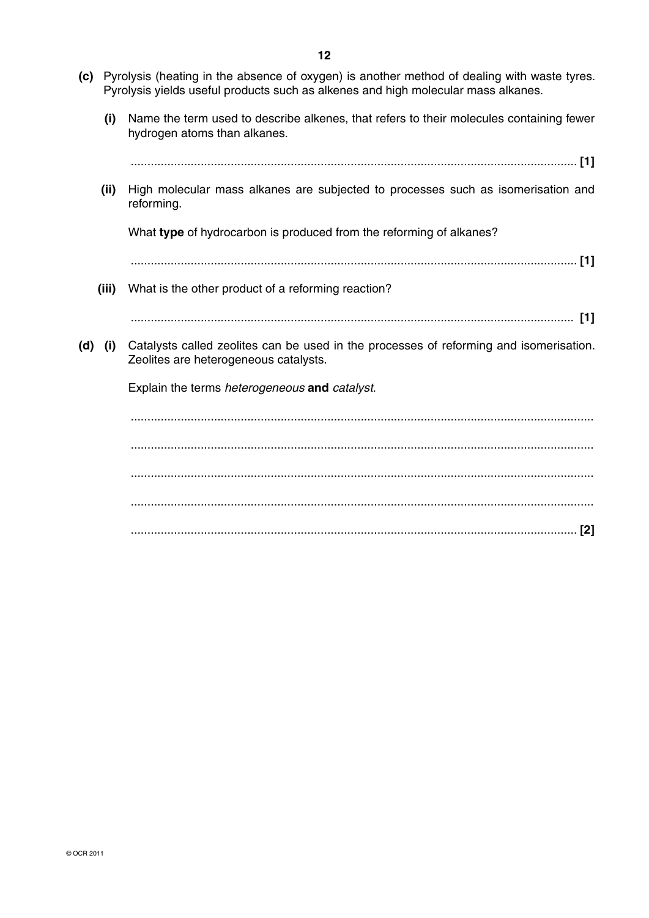- **(c)** Pyrolysis (heating in the absence of oxygen) is another method of dealing with waste tyres. Pyrolysis yields useful products such as alkenes and high molecular mass alkanes.
	- **(i)** Name the term used to describe alkenes, that refers to their molecules containing fewer hydrogen atoms than alkanes.

| (ii)        | High molecular mass alkanes are subjected to processes such as isomerisation and<br>reforming.                                  |
|-------------|---------------------------------------------------------------------------------------------------------------------------------|
|             | What type of hydrocarbon is produced from the reforming of alkanes?                                                             |
|             |                                                                                                                                 |
| (iii)       | What is the other product of a reforming reaction?                                                                              |
|             |                                                                                                                                 |
| $(d)$ $(i)$ | Catalysts called zeolites can be used in the processes of reforming and isomerisation.<br>Zeolites are heterogeneous catalysts. |
|             | Explain the terms heterogeneous and catalyst.                                                                                   |
|             |                                                                                                                                 |
|             |                                                                                                                                 |
|             |                                                                                                                                 |
|             |                                                                                                                                 |
|             | [2]                                                                                                                             |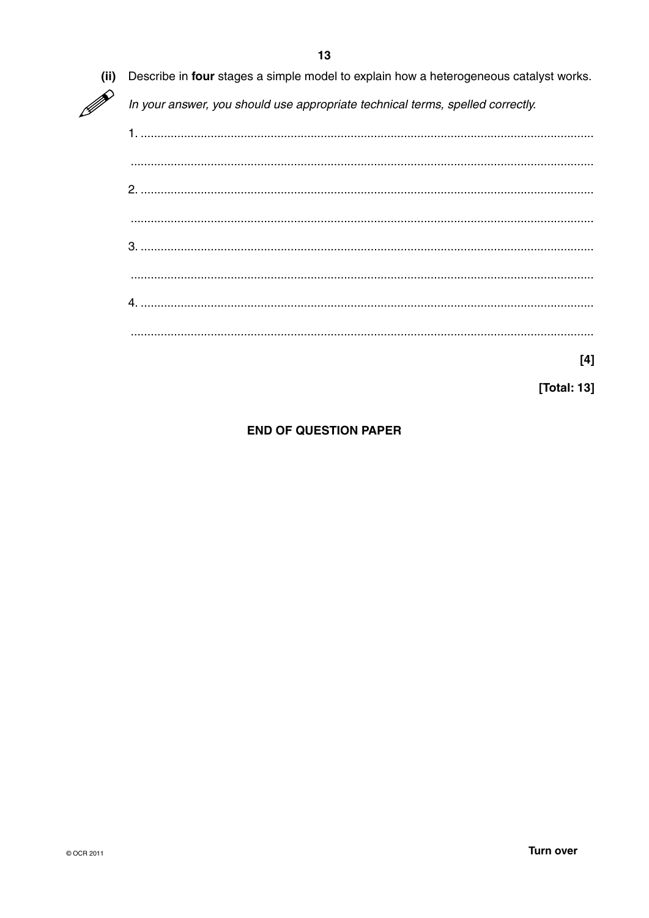Describe in four stages a simple model to explain how a heterogeneous catalyst works.  $(ii)$ In your answer, you should use appropriate technical terms, spelled correctly. 

 $[4]$ 

[Total: 13]

**END OF QUESTION PAPER**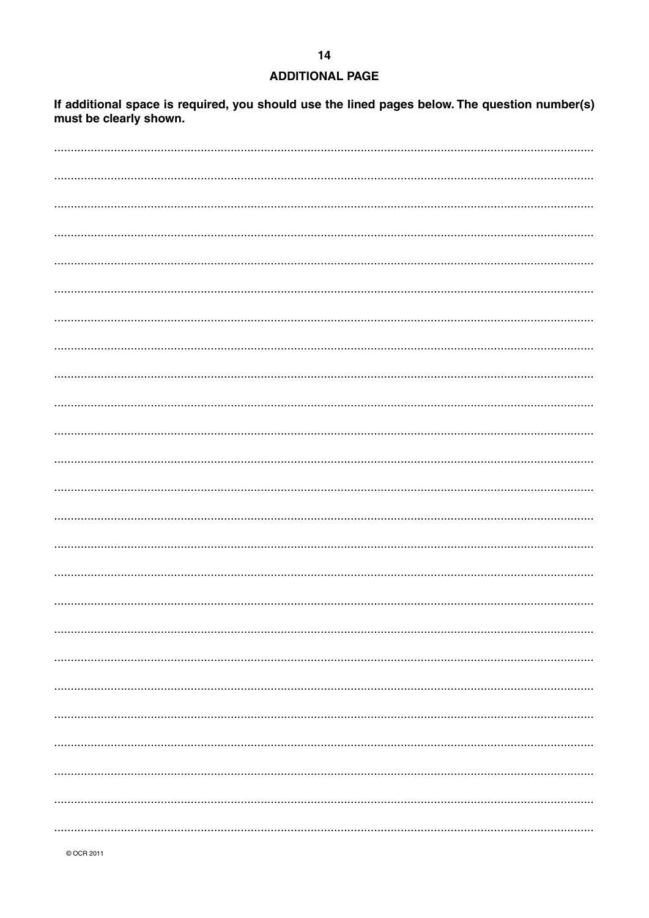## **ADDITIONAL PAGE**

 $14$ 

If additional space is required, you should use the lined pages below. The question number(s) must be clearly shown.

© OCR 2011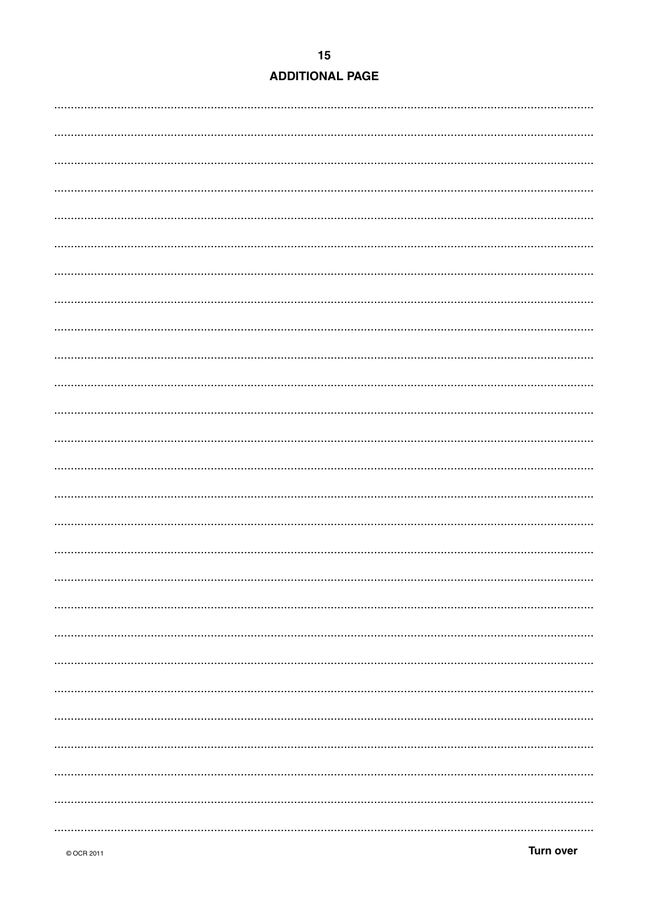## **ADDITIONAL PAGE**